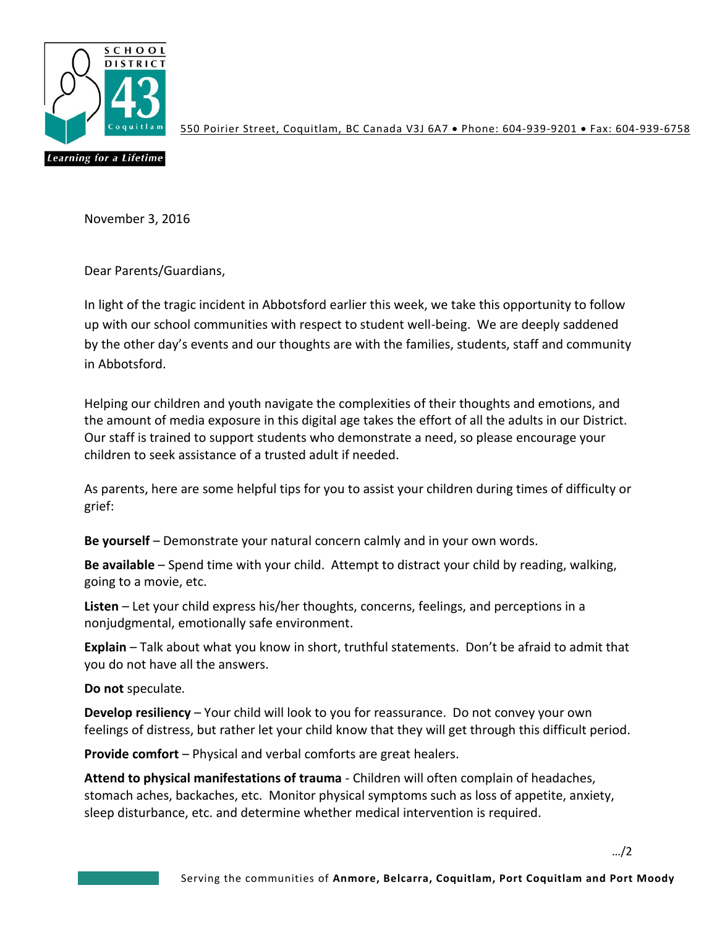

550 Poirier Street, Coquitlam, BC Canada V3J 6A7 · Phone: 604-939-9201 · Fax: 604-939-6758

November 3, 2016

Dear Parents/Guardians,

In light of the tragic incident in Abbotsford earlier this week, we take this opportunity to follow up with our school communities with respect to student well-being. We are deeply saddened by the other day's events and our thoughts are with the families, students, staff and community in Abbotsford.

Helping our children and youth navigate the complexities of their thoughts and emotions, and the amount of media exposure in this digital age takes the effort of all the adults in our District. Our staff is trained to support students who demonstrate a need, so please encourage your children to seek assistance of a trusted adult if needed.

As parents, here are some helpful tips for you to assist your children during times of difficulty or grief:

**Be yourself** – Demonstrate your natural concern calmly and in your own words.

**Be available** – Spend time with your child. Attempt to distract your child by reading, walking, going to a movie, etc.

**Listen** – Let your child express his/her thoughts, concerns, feelings, and perceptions in a nonjudgmental, emotionally safe environment.

**Explain** – Talk about what you know in short, truthful statements. Don't be afraid to admit that you do not have all the answers.

**Do not** speculate*.* 

**Develop resiliency** – Your child will look to you for reassurance. Do not convey your own feelings of distress, but rather let your child know that they will get through this difficult period.

**Provide comfort** – Physical and verbal comforts are great healers.

**Attend to physical manifestations of trauma** - Children will often complain of headaches, stomach aches, backaches, etc. Monitor physical symptoms such as loss of appetite, anxiety, sleep disturbance, etc. and determine whether medical intervention is required.